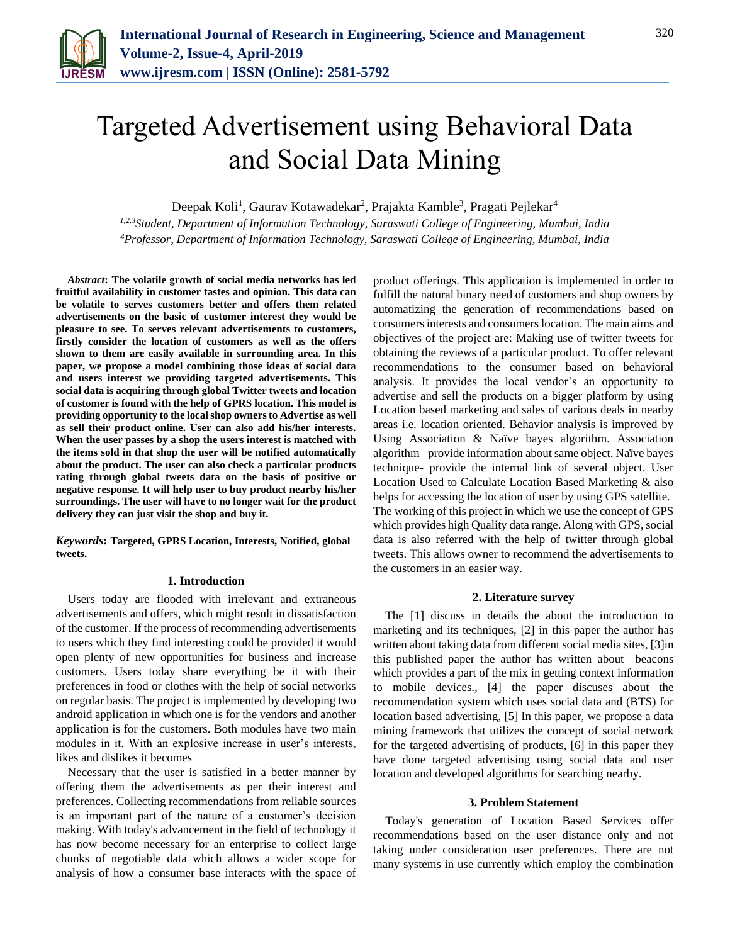

# Targeted Advertisement using Behavioral Data and Social Data Mining

Deepak Koli<sup>1</sup>, Gaurav Kotawadekar<sup>2</sup>, Prajakta Kamble<sup>3</sup>, Pragati Pejlekar<sup>4</sup>

*1,2,3Student, Department of Information Technology, Saraswati College of Engineering, Mumbai, India <sup>4</sup>Professor, Department of Information Technology, Saraswati College of Engineering, Mumbai, India*

*Abstract***: The volatile growth of social media networks has led fruitful availability in customer tastes and opinion. This data can be volatile to serves customers better and offers them related advertisements on the basic of customer interest they would be pleasure to see. To serves relevant advertisements to customers, firstly consider the location of customers as well as the offers shown to them are easily available in surrounding area. In this paper, we propose a model combining those ideas of social data and users interest we providing targeted advertisements. This social data is acquiring through global Twitter tweets and location of customer is found with the help of GPRS location. This model is providing opportunity to the local shop owners to Advertise as well as sell their product online. User can also add his/her interests. When the user passes by a shop the users interest is matched with the items sold in that shop the user will be notified automatically about the product. The user can also check a particular products rating through global tweets data on the basis of positive or negative response. It will help user to buy product nearby his/her surroundings. The user will have to no longer wait for the product delivery they can just visit the shop and buy it.**

*Keywords***: Targeted, GPRS Location, Interests, Notified, global tweets.**

## **1. Introduction**

Users today are flooded with irrelevant and extraneous advertisements and offers, which might result in dissatisfaction of the customer. If the process of recommending advertisements to users which they find interesting could be provided it would open plenty of new opportunities for business and increase customers. Users today share everything be it with their preferences in food or clothes with the help of social networks on regular basis. The project is implemented by developing two android application in which one is for the vendors and another application is for the customers. Both modules have two main modules in it. With an explosive increase in user's interests, likes and dislikes it becomes

Necessary that the user is satisfied in a better manner by offering them the advertisements as per their interest and preferences. Collecting recommendations from reliable sources is an important part of the nature of a customer's decision making. With today's advancement in the field of technology it has now become necessary for an enterprise to collect large chunks of negotiable data which allows a wider scope for analysis of how a consumer base interacts with the space of product offerings. This application is implemented in order to fulfill the natural binary need of customers and shop owners by automatizing the generation of recommendations based on consumers interests and consumers location. The main aims and objectives of the project are: Making use of twitter tweets for obtaining the reviews of a particular product. To offer relevant recommendations to the consumer based on behavioral analysis. It provides the local vendor's an opportunity to advertise and sell the products on a bigger platform by using Location based marketing and sales of various deals in nearby areas i.e. location oriented. Behavior analysis is improved by Using Association & Naïve bayes algorithm. Association algorithm –provide information about same object. Naïve bayes technique- provide the internal link of several object. User Location Used to Calculate Location Based Marketing & also helps for accessing the location of user by using GPS satellite. The working of this project in which we use the concept of GPS which provides high Quality data range. Along with GPS, social data is also referred with the help of twitter through global tweets. This allows owner to recommend the advertisements to the customers in an easier way.

#### **2. Literature survey**

The [1] discuss in details the about the introduction to marketing and its techniques, [2] in this paper the author has written about taking data from different social media sites, [3]in this published paper the author has written about beacons which provides a part of the mix in getting context information to mobile devices., [4] the paper discuses about the recommendation system which uses social data and (BTS) for location based advertising, [5] In this paper, we propose a data mining framework that utilizes the concept of social network for the targeted advertising of products, [6] in this paper they have done targeted advertising using social data and user location and developed algorithms for searching nearby.

## **3. Problem Statement**

Today's generation of Location Based Services offer recommendations based on the user distance only and not taking under consideration user preferences. There are not many systems in use currently which employ the combination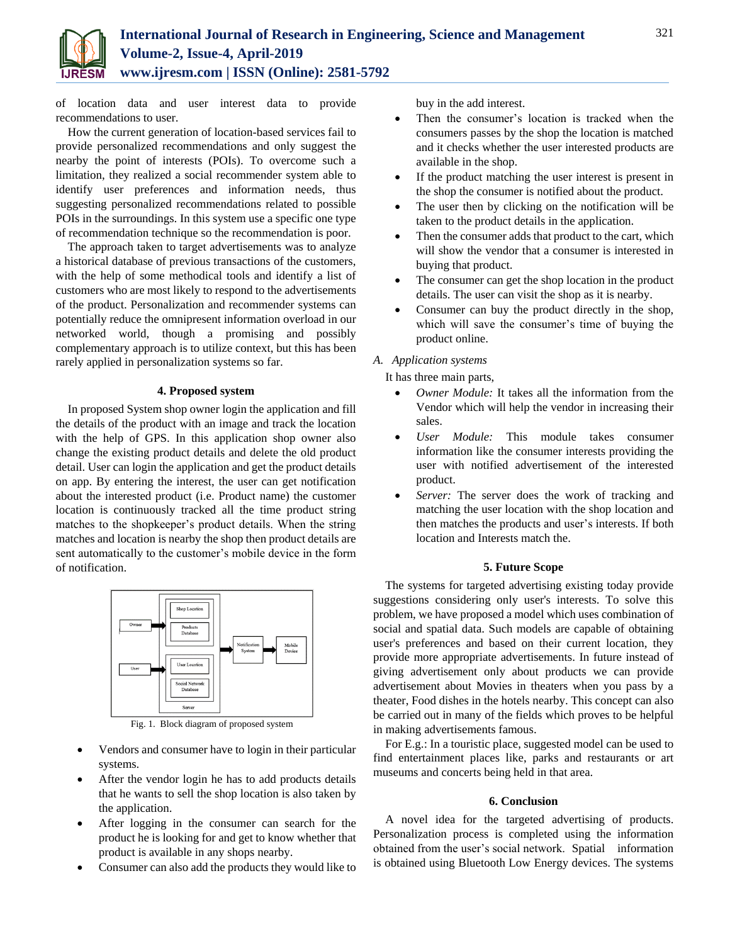

of location data and user interest data to provide recommendations to user.

How the current generation of location-based services fail to provide personalized recommendations and only suggest the nearby the point of interests (POIs). To overcome such a limitation, they realized a social recommender system able to identify user preferences and information needs, thus suggesting personalized recommendations related to possible POIs in the surroundings. In this system use a specific one type of recommendation technique so the recommendation is poor.

The approach taken to target advertisements was to analyze a historical database of previous transactions of the customers, with the help of some methodical tools and identify a list of customers who are most likely to respond to the advertisements of the product. Personalization and recommender systems can potentially reduce the omnipresent information overload in our networked world, though a promising and possibly complementary approach is to utilize context, but this has been rarely applied in personalization systems so far.

## **4. Proposed system**

In proposed System shop owner login the application and fill the details of the product with an image and track the location with the help of GPS. In this application shop owner also change the existing product details and delete the old product detail. User can login the application and get the product details on app. By entering the interest, the user can get notification about the interested product (i.e. Product name) the customer location is continuously tracked all the time product string matches to the shopkeeper's product details. When the string matches and location is nearby the shop then product details are sent automatically to the customer's mobile device in the form of notification.



Fig. 1. Block diagram of proposed system

- Vendors and consumer have to login in their particular systems.
- After the vendor login he has to add products details that he wants to sell the shop location is also taken by the application.
- After logging in the consumer can search for the product he is looking for and get to know whether that product is available in any shops nearby.
- Consumer can also add the products they would like to

buy in the add interest.

- Then the consumer's location is tracked when the consumers passes by the shop the location is matched and it checks whether the user interested products are available in the shop.
- If the product matching the user interest is present in the shop the consumer is notified about the product.
- The user then by clicking on the notification will be taken to the product details in the application.
- Then the consumer adds that product to the cart, which will show the vendor that a consumer is interested in buying that product.
- The consumer can get the shop location in the product details. The user can visit the shop as it is nearby.
- Consumer can buy the product directly in the shop, which will save the consumer's time of buying the product online.

## *A. Application systems*

It has three main parts,

- *Owner Module:* It takes all the information from the Vendor which will help the vendor in increasing their sales.
- *User Module:* This module takes consumer information like the consumer interests providing the user with notified advertisement of the interested product.
- *Server:* The server does the work of tracking and matching the user location with the shop location and then matches the products and user's interests. If both location and Interests match the.

## **5. Future Scope**

The systems for targeted advertising existing today provide suggestions considering only user's interests. To solve this problem, we have proposed a model which uses combination of social and spatial data. Such models are capable of obtaining user's preferences and based on their current location, they provide more appropriate advertisements. In future instead of giving advertisement only about products we can provide advertisement about Movies in theaters when you pass by a theater, Food dishes in the hotels nearby. This concept can also be carried out in many of the fields which proves to be helpful in making advertisements famous.

For E.g.: In a touristic place, suggested model can be used to find entertainment places like, parks and restaurants or art museums and concerts being held in that area.

#### **6. Conclusion**

A novel idea for the targeted advertising of products. Personalization process is completed using the information obtained from the user's social network. Spatial information is obtained using Bluetooth Low Energy devices. The systems